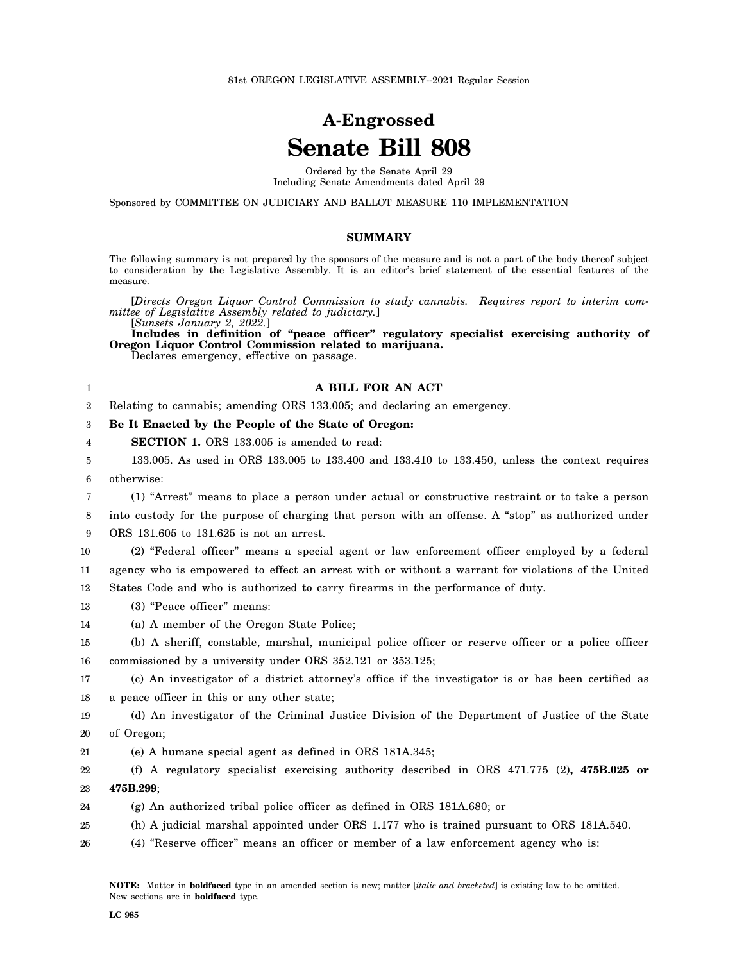## **A-Engrossed Senate Bill 808**

Ordered by the Senate April 29 Including Senate Amendments dated April 29

Sponsored by COMMITTEE ON JUDICIARY AND BALLOT MEASURE 110 IMPLEMENTATION

## **SUMMARY**

The following summary is not prepared by the sponsors of the measure and is not a part of the body thereof subject to consideration by the Legislative Assembly. It is an editor's brief statement of the essential features of the measure.

[*Directs Oregon Liquor Control Commission to study cannabis. Requires report to interim committee of Legislative Assembly related to judiciary.*] [*Sunsets January 2, 2022.*]

**Includes in definition of "peace officer" regulatory specialist exercising authority of Oregon Liquor Control Commission related to marijuana.**

Declares emergency, effective on passage.

## **A BILL FOR AN ACT**

2 Relating to cannabis; amending ORS 133.005; and declaring an emergency.

3 **Be It Enacted by the People of the State of Oregon:**

4 **SECTION 1.** ORS 133.005 is amended to read:

5 6 133.005. As used in ORS 133.005 to 133.400 and 133.410 to 133.450, unless the context requires otherwise:

7 (1) "Arrest" means to place a person under actual or constructive restraint or to take a person

8 9 into custody for the purpose of charging that person with an offense. A "stop" as authorized under ORS 131.605 to 131.625 is not an arrest.

10 11 (2) "Federal officer" means a special agent or law enforcement officer employed by a federal agency who is empowered to effect an arrest with or without a warrant for violations of the United

12 States Code and who is authorized to carry firearms in the performance of duty.

13 (3) "Peace officer" means:

1

- 14 (a) A member of the Oregon State Police;
- 15 16 (b) A sheriff, constable, marshal, municipal police officer or reserve officer or a police officer commissioned by a university under ORS 352.121 or 353.125;

17 18 (c) An investigator of a district attorney's office if the investigator is or has been certified as a peace officer in this or any other state;

19 20 (d) An investigator of the Criminal Justice Division of the Department of Justice of the State of Oregon;

21 (e) A humane special agent as defined in ORS 181A.345;

22 23 (f) A regulatory specialist exercising authority described in ORS 471.775 (2)**, 475B.025 or 475B.299**;

24 (g) An authorized tribal police officer as defined in ORS 181A.680; or

- 25 (h) A judicial marshal appointed under ORS 1.177 who is trained pursuant to ORS 181A.540.
- 26 (4) "Reserve officer" means an officer or member of a law enforcement agency who is: